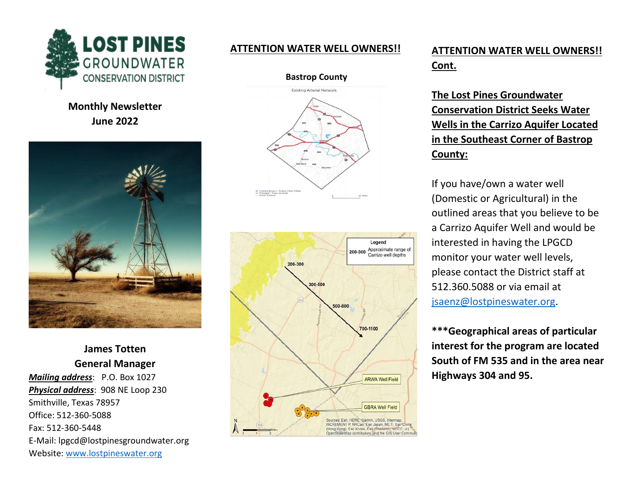

**Monthly Newsletter June 2022**



**James Totten General Manager**  *Mailing address*: P.O. Box 1027 *Physical address*: 908 NE Loop 230 Smithville, Texas 78957 Office: 512-360-5088 Fax: 512-360-5448 E-Mail: lpgcd@lostpinesgroundwater.org Website: [www.lostpineswater.org](http://www.lostpineswater.org/)

### **ATTENTION WATER WELL OWNERS!!**

**Bastrop County**





# **ATTENTION WATER WELL OWNERS!! Cont.**

**The Lost Pines Groundwater Conservation District Seeks Water Wells in the Carrizo Aquifer Located in the Southeast Corner of Bastrop County:**

If you have/own a water well (Domestic or Agricultural) in the outlined areas that you believe to be a Carrizo Aquifer Well and would be interested in having the LPGCD monitor your water well levels, please contact the District staff at 512.360.5088 or via email at [jsaenz@lostpineswater.org.](mailto:jsaenz@lostpineswater.org)

**\*\*\*Geographical areas of particular interest for the program are located South of FM 535 and in the area near Highways 304 and 95.**